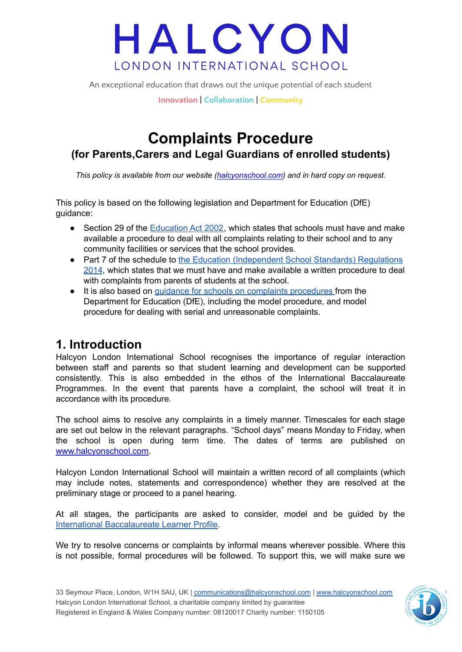An exceptional education that draws out the unique potential of each student

**Innovation | Collaboration | Community**

### **Complaints Procedure (for Parents,Carers and Legal Guardians of enrolled students)**

*This policy is available from our website ([halcyonschool.com\)](http://www.halcyonschool.com) and in hard copy on request.*

This policy is based on the following legislation and Department for Education (DfE) guidance:

- Section 29 of the [Education](https://www.legislation.gov.uk/ukpga/2002/32/section/29) Act 2002, which states that schools must have and make available a procedure to deal with all complaints relating to their school and to any community facilities or services that the school provides.
- Part 7 of the schedule to the Education [\(Independent](https://www.legislation.gov.uk/uksi/2014/3283/schedule/made) School Standards) Regulations [2014](https://www.legislation.gov.uk/uksi/2014/3283/schedule/made), which states that we must have and make available a written procedure to deal with complaints from parents of students at the school.
- It is also based on guidance for schools on complaints [procedures](https://www.gov.uk/government/publications/school-complaints-procedures) from the Department for Education (DfE), including the model procedure, and model procedure for dealing with serial and unreasonable complaints.

### **1. Introduction**

Halcyon London International School recognises the importance of regular interaction between staff and parents so that student learning and development can be supported consistently. This is also embedded in the ethos of the International Baccalaureate Programmes. In the event that parents have a complaint, the school will treat it in accordance with its procedure.

The school aims to resolve any complaints in a timely manner. Timescales for each stage are set out below in the relevant paragraphs. "School days" means Monday to Friday, when the school is open during term time. The dates of terms are published on [www.halcyonschool.com.](http://www.halcyonschool.com)

Halcyon London International School will maintain a written record of all complaints (which may include notes, statements and correspondence) whether they are resolved at the preliminary stage or proceed to a panel hearing.

At all stages, the participants are asked to consider, model and be guided by the International [Baccalaureate](https://ibo.org/benefits/learner-profile/) Learner Profile.

We try to resolve concerns or complaints by informal means wherever possible. Where this is not possible, formal procedures will be followed. To support this, we will make sure we

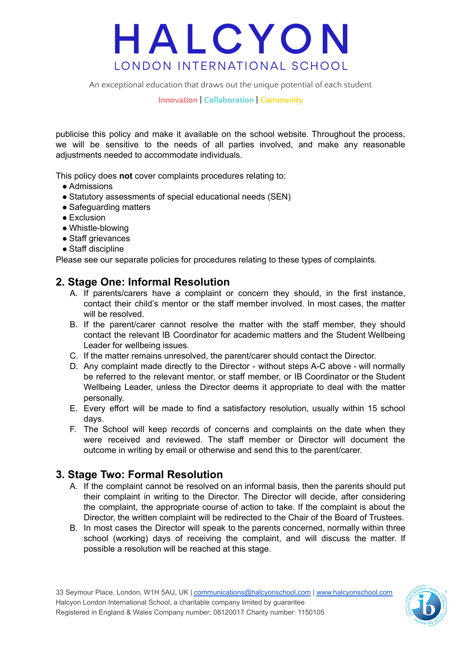An exceptional education that draws out the unique potential of each student

**Innovation | Collaboration | Community**

publicise this policy and make it available on the school website. Throughout the process, we will be sensitive to the needs of all parties involved, and make any reasonable adjustments needed to accommodate individuals.

This policy does **not** cover complaints procedures relating to:

- Admissions
- Statutory assessments of special educational needs (SEN)
- Safeguarding matters
- Exclusion
- Whistle-blowing
- Staff grievances
- Staff discipline

Please see our separate policies for procedures relating to these types of complaints.

#### **2. Stage One: Informal Resolution**

- A. If parents/carers have a complaint or concern they should, in the first instance, contact their child's mentor or the staff member involved. In most cases, the matter will be resolved.
- B. If the parent/carer cannot resolve the matter with the staff member, they should contact the relevant IB Coordinator for academic matters and the Student Wellbeing Leader for wellbeing issues.
- C. If the matter remains unresolved, the parent/carer should contact the Director.
- D. Any complaint made directly to the Director without steps A-C above will normally be referred to the relevant mentor, or staff member, or IB Coordinator or the Student Wellbeing Leader, unless the Director deems it appropriate to deal with the matter personally.
- E. Every effort will be made to find a satisfactory resolution, usually within 15 school days.
- F. The School will keep records of concerns and complaints on the date when they were received and reviewed. The staff member or Director will document the outcome in writing by email or otherwise and send this to the parent/carer.

#### **3. Stage Two: Formal Resolution**

- A. If the complaint cannot be resolved on an informal basis, then the parents should put their complaint in writing to the Director. The Director will decide, after considering the complaint, the appropriate course of action to take. If the complaint is about the Director, the written complaint will be redirected to the Chair of the Board of Trustees.
- B. In most cases the Director will speak to the parents concerned, normally within three school (working) days of receiving the complaint, and will discuss the matter. If possible a resolution will be reached at this stage.

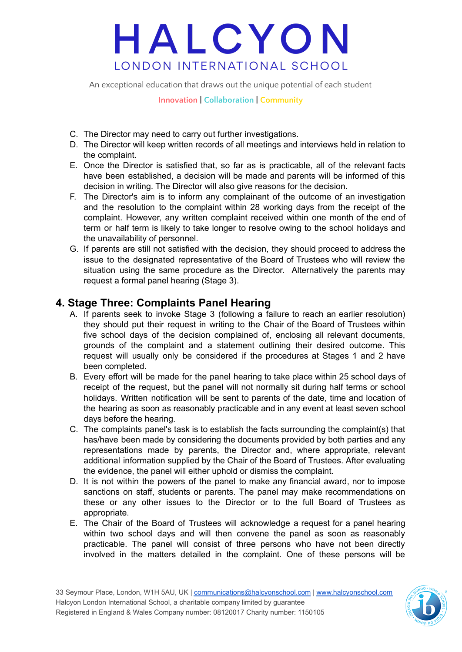An exceptional education that draws out the unique potential of each student

**Innovation | Collaboration | Community**

- C. The Director may need to carry out further investigations.
- D. The Director will keep written records of all meetings and interviews held in relation to the complaint.
- E. Once the Director is satisfied that, so far as is practicable, all of the relevant facts have been established, a decision will be made and parents will be informed of this decision in writing. The Director will also give reasons for the decision.
- F. The Director's aim is to inform any complainant of the outcome of an investigation and the resolution to the complaint within 28 working days from the receipt of the complaint. However, any written complaint received within one month of the end of term or half term is likely to take longer to resolve owing to the school holidays and the unavailability of personnel.
- G. If parents are still not satisfied with the decision, they should proceed to address the issue to the designated representative of the Board of Trustees who will review the situation using the same procedure as the Director. Alternatively the parents may request a formal panel hearing (Stage 3).

#### **4. Stage Three: Complaints Panel Hearing**

- A. If parents seek to invoke Stage 3 (following a failure to reach an earlier resolution) they should put their request in writing to the Chair of the Board of Trustees within five school days of the decision complained of, enclosing all relevant documents, grounds of the complaint and a statement outlining their desired outcome. This request will usually only be considered if the procedures at Stages 1 and 2 have been completed.
- B. Every effort will be made for the panel hearing to take place within 25 school days of receipt of the request, but the panel will not normally sit during half terms or school holidays. Written notification will be sent to parents of the date, time and location of the hearing as soon as reasonably practicable and in any event at least seven school days before the hearing.
- C. The complaints panel's task is to establish the facts surrounding the complaint(s) that has/have been made by considering the documents provided by both parties and any representations made by parents, the Director and, where appropriate, relevant additional information supplied by the Chair of the Board of Trustees. After evaluating the evidence, the panel will either uphold or dismiss the complaint.
- D. It is not within the powers of the panel to make any financial award, nor to impose sanctions on staff, students or parents. The panel may make recommendations on these or any other issues to the Director or to the full Board of Trustees as appropriate.
- E. The Chair of the Board of Trustees will acknowledge a request for a panel hearing within two school days and will then convene the panel as soon as reasonably practicable. The panel will consist of three persons who have not been directly involved in the matters detailed in the complaint. One of these persons will be

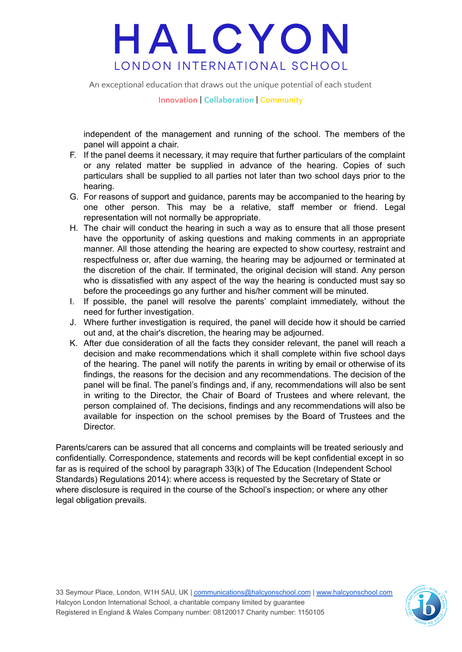An exceptional education that draws out the unique potential of each student

**Innovation | Collaboration | Community**

independent of the management and running of the school. The members of the panel will appoint a chair.

- F. If the panel deems it necessary, it may require that further particulars of the complaint or any related matter be supplied in advance of the hearing. Copies of such particulars shall be supplied to all parties not later than two school days prior to the hearing.
- G. For reasons of support and guidance, parents may be accompanied to the hearing by one other person. This may be a relative, staff member or friend. Legal representation will not normally be appropriate.
- H. The chair will conduct the hearing in such a way as to ensure that all those present have the opportunity of asking questions and making comments in an appropriate manner. All those attending the hearing are expected to show courtesy, restraint and respectfulness or, after due warning, the hearing may be adjourned or terminated at the discretion of the chair. If terminated, the original decision will stand. Any person who is dissatisfied with any aspect of the way the hearing is conducted must say so before the proceedings go any further and his/her comment will be minuted.
- I. If possible, the panel will resolve the parents' complaint immediately, without the need for further investigation.
- J. Where further investigation is required, the panel will decide how it should be carried out and, at the chair's discretion, the hearing may be adjourned.
- K. After due consideration of all the facts they consider relevant, the panel will reach a decision and make recommendations which it shall complete within five school days of the hearing. The panel will notify the parents in writing by email or otherwise of its findings, the reasons for the decision and any recommendations. The decision of the panel will be final. The panel's findings and, if any, recommendations will also be sent in writing to the Director, the Chair of Board of Trustees and where relevant, the person complained of. The decisions, findings and any recommendations will also be available for inspection on the school premises by the Board of Trustees and the Director.

Parents/carers can be assured that all concerns and complaints will be treated seriously and confidentially. Correspondence, statements and records will be kept confidential except in so far as is required of the school by paragraph 33(k) of The Education (Independent School Standards) Regulations 2014): where access is requested by the Secretary of State or where disclosure is required in the course of the School's inspection; or where any other legal obligation prevails.